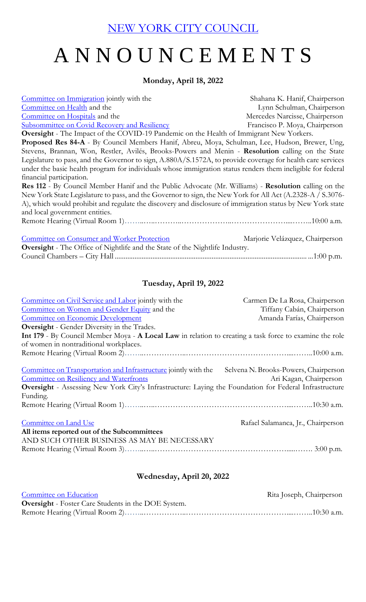[NEW YORK CITY COUNCIL](https://legistar.council.nyc.gov/Calendar.aspx)

## A N N O U N C E M E N T S

## **Monday, April 18, 2022**

[Committee on Immigration](http://legistar.council.nyc.gov/DepartmentDetail.aspx?ID=7035&GUID=B9476552-79F1-4D74-A44F-BCF3F60343D0&R=28d18fee-7b3b-4bf9-a1e4-bdd07c2853ba) jointly with the Shahana K. Hanif, Chairperson [Committee on Health](http://legistar.council.nyc.gov/DepartmentDetail.aspx?ID=6908&GUID=18BA7ED9-E266-4CC0-83E8-11662647CF65&Search=) and the Lynn Schulman, Chairperson [Committee on Hospitals](http://legistar.council.nyc.gov/DepartmentDetail.aspx?ID=36517&GUID=6E7A9B4F-8307-4E89-B8FD-BE55E652EA88&Search=) and the Mercedes Narcisse, Chairperson [Subsommittee on Covid Recovery and Resiliency](http://legistar.council.nyc.gov/DepartmentDetail.aspx?ID=6918&GUID=E7F0BF95-991E-43FB-B304-772DBD06D465&R=a4f82120-5abe-45d0-9ca2-27b4a318ff9e) Francisco P. Moya, Chairperson

**Oversight** - The Impact of the COVID-19 Pandemic on the Health of Immigrant New Yorkers. **Proposed Res 84-A** - By Council Members Hanif, Abreu, Moya, Schulman, Lee, Hudson, Brewer, Ung, Stevens, Brannan, Won, Restler, Avilés, Brooks-Powers and Menin - **Resolution** calling on the State Legislature to pass, and the Governor to sign, A.880A/S.1572A, to provide coverage for health care services under the basic health program for individuals whose immigration status renders them ineligible for federal financial participation.

**Res 112** - By Council Member Hanif and the Public Advocate (Mr. Williams) - **Resolution** calling on the New York State Legislature to pass, and the Governor to sign, the New York for All Act (A.2328-A / S.3076- A), which would prohibit and regulate the discovery and disclosure of immigration status by New York state and local government entities. Remote Hearing (Virtual Room 1)………………………………………………………………………………10:00 a.m.

| Committee on Consumer and Worker Protection                                         | Marjorie Velázquez, Chairperson |  |  |  |
|-------------------------------------------------------------------------------------|---------------------------------|--|--|--|
| <b>Oversight</b> - The Office of Nightlife and the State of the Nightlife Industry. |                                 |  |  |  |
|                                                                                     |                                 |  |  |  |

## **Tuesday, April 19, 2022**

| Committee on Civil Service and Labor jointly with the                                                   | Carmen De La Rosa, Chairperson        |
|---------------------------------------------------------------------------------------------------------|---------------------------------------|
| Committee on Women and Gender Equity and the                                                            | Tiffany Cabán, Chairperson            |
| Committee on Economic Development                                                                       | Amanda Farías, Chairperson            |
| <b>Oversight</b> - Gender Diversity in the Trades.                                                      |                                       |
| Int 179 - By Council Member Moya - A Local Law in relation to creating a task force to examine the role |                                       |
| of women in nontraditional workplaces.                                                                  |                                       |
|                                                                                                         |                                       |
|                                                                                                         |                                       |
| Committee on Transportation and Infrastructure jointly with the                                         | Selvena N. Brooks-Powers, Chairperson |
| <b>Committee on Resiliency and Waterfronts</b>                                                          | Ari Kagan, Chairperson                |
| Oversight - Assessing New York City's Infrastructure: Laying the Foundation for Federal Infrastructure  |                                       |
| Funding.                                                                                                |                                       |
|                                                                                                         |                                       |
|                                                                                                         |                                       |
| Committee on Land Use                                                                                   | Rafael Salamanca, Jr., Chairperson    |
| All items reported out of the Subcommittees                                                             |                                       |
| AND SUCH OTHER BUSINESS AS MAY BE NECESSARY                                                             |                                       |
|                                                                                                         |                                       |

## **Wednesday, April 20, 2022**

| Committee on Education                                     | Rita Joseph, Chairperson |
|------------------------------------------------------------|--------------------------|
| <b>Oversight</b> - Foster Care Students in the DOE System. |                          |
|                                                            |                          |